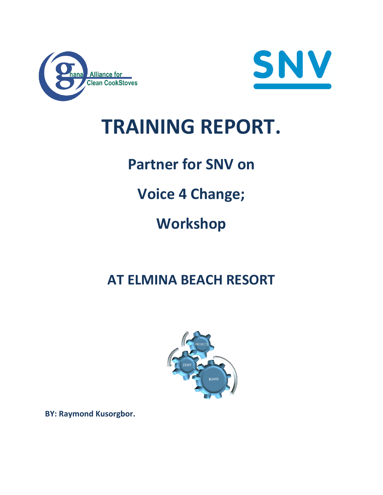



# **TRAINING REPORT.**

# **Partner for SNV on**

# **Voice 4 Change;**

# **Workshop**

# **AT ELMINA BEACH RESORT**



**BY: Raymond Kusorgbor.**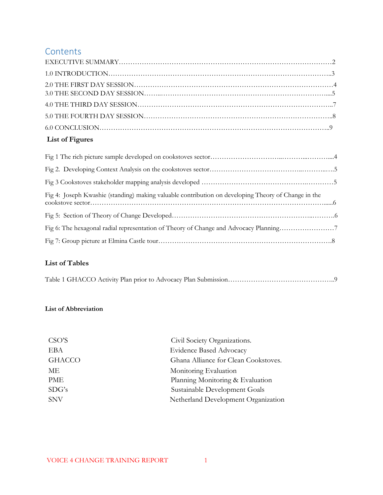## **Contents**

# **List of Figures**

| Fig 4: Joseph Kwashie (standing) making valuable contribution on developing Theory of Change in the |  |
|-----------------------------------------------------------------------------------------------------|--|
|                                                                                                     |  |
| Fig 6: The hexagonal radial representation of Theory of Change and Advocacy Planning7               |  |
|                                                                                                     |  |

### **List of Tables**

|--|--|--|--|

### **List of Abbreviation**

| CSO'S         | Civil Society Organizations.         |
|---------------|--------------------------------------|
| EBA           | <b>Evidence Based Advocacy</b>       |
| <b>GHACCO</b> | Ghana Alliance for Clean Cookstoves. |
| МE            | Monitoring Evaluation                |
| PME           | Planning Monitoring & Evaluation     |
| SDG's         | Sustainable Development Goals        |
| <b>SNV</b>    | Netherland Development Organization  |
|               |                                      |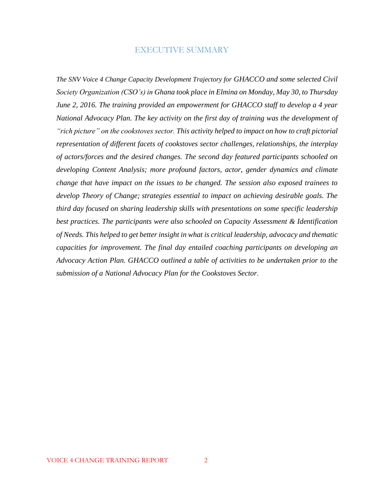#### EXECUTIVE SUMMARY

<span id="page-2-0"></span>*The SNV Voice 4 Change Capacity Development Trajectory for GHACCO and some selected Civil Society Organization (CSO's) in Ghana took place in Elmina on Monday, May 30, to Thursday June 2, 2016. The training provided an empowerment for GHACCO staff to develop a 4 year National Advocacy Plan. The key activity on the first day of training was the development of "rich picture" on the cookstoves sector. This activity helped to impact on how to craft pictorial representation of different facets of cookstoves sector challenges, relationships, the interplay of actors/forces and the desired changes. The second day featured participants schooled on developing Content Analysis; more profound factors, actor, gender dynamics and climate change that have impact on the issues to be changed. The session also exposed trainees to develop Theory of Change; strategies essential to impact on achieving desirable goals. The third day focused on sharing leadership skills with presentations on some specific leadership best practices. The participants were also schooled on Capacity Assessment & Identification of Needs. This helped to get better insight in what is critical leadership, advocacy and thematic capacities for improvement. The final day entailed coaching participants on developing an Advocacy Action Plan. GHACCO outlined a table of activities to be undertaken prior to the submission of a National Advocacy Plan for the Cookstoves Sector*.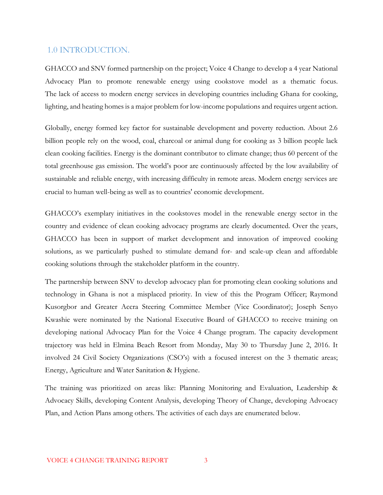#### <span id="page-3-0"></span>1.0 INTRODUCTION.

GHACCO and SNV formed partnership on the project; Voice 4 Change to develop a 4 year National Advocacy Plan to promote renewable energy using cookstove model as a thematic focus. The lack of access to modern energy services in developing countries including Ghana for cooking, lighting, and heating homes is a major problem for low-income populations and requires urgent action.

Globally, energy formed key factor for sustainable development and poverty reduction. About 2.6 billion people rely on the wood, coal, charcoal or animal dung for cooking as 3 billion people lack clean cooking facilities. Energy is the dominant contributor to climate change; thus 60 percent of the total greenhouse gas emission. The world's poor are continuously affected by the low availability of sustainable and reliable energy, with increasing difficulty in remote areas. Modern energy services are crucial to human well-being as well as to countries' economic development.

GHACCO's exemplary initiatives in the cookstoves model in the renewable energy sector in the country and evidence of clean cooking advocacy programs are clearly documented. Over the years, GHACCO has been in support of market development and innovation of improved cooking solutions, as we particularly pushed to stimulate demand for- and scale-up clean and affordable cooking solutions through the stakeholder platform in the country.

The partnership between SNV to develop advocacy plan for promoting clean cooking solutions and technology in Ghana is not a misplaced priority. In view of this the Program Officer; Raymond Kusorgbor and Greater Accra Steering Committee Member (Vice Coordinator); Joseph Senyo Kwashie were nominated by the National Executive Board of GHACCO to receive training on developing national Advocacy Plan for the Voice 4 Change program. The capacity development trajectory was held in Elmina Beach Resort from Monday, May 30 to Thursday June 2, 2016. It involved 24 Civil Society Organizations (CSO's) with a focused interest on the 3 thematic areas; Energy, Agriculture and Water Sanitation & Hygiene.

The training was prioritized on areas like: Planning Monitoring and Evaluation, Leadership & Advocacy Skills, developing Content Analysis, developing Theory of Change, developing Advocacy Plan, and Action Plans among others. The activities of each days are enumerated below.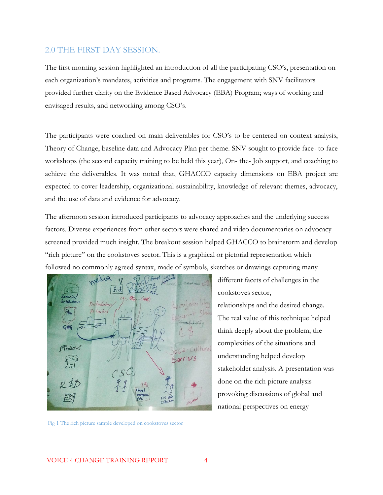#### <span id="page-4-0"></span>2.0 THE FIRST DAY SESSION.

The first morning session highlighted an introduction of all the participating CSO's, presentation on each organization's mandates, activities and programs. The engagement with SNV facilitators provided further clarity on the Evidence Based Advocacy (EBA) Program; ways of working and envisaged results, and networking among CSO's.

The participants were coached on main deliverables for CSO's to be centered on context analysis, Theory of Change, baseline data and Advocacy Plan per theme. SNV sought to provide face- to face workshops (the second capacity training to be held this year), On- the- Job support, and coaching to achieve the deliverables. It was noted that, GHACCO capacity dimensions on EBA project are expected to cover leadership, organizational sustainability, knowledge of relevant themes, advocacy, and the use of data and evidence for advocacy.

The afternoon session introduced participants to advocacy approaches and the underlying success factors. Diverse experiences from other sectors were shared and video documentaries on advocacy screened provided much insight. The breakout session helped GHACCO to brainstorm and develop "rich picture" on the cookstoves sector. This is a graphical or pictorial representation which followed no commonly agreed syntax, made of symbols, sketches or drawings capturing many



Fig 1 The rich picture sample developed on cookstoves sector

different facets of challenges in the cookstoves sector, relationships and the desired change. The real value of this technique helped think deeply about the problem, the complexities of the situations and understanding helped develop stakeholder analysis. A presentation was done on the rich picture analysis provoking discussions of global and national perspectives on energy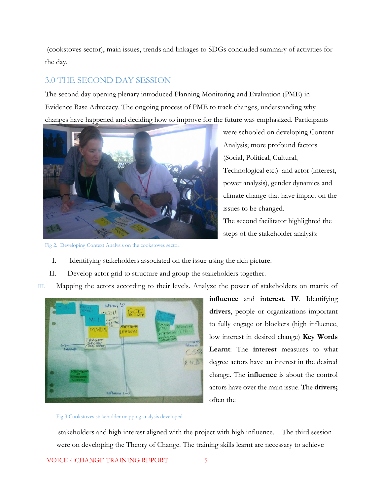(cookstoves sector), main issues, trends and linkages to SDGs concluded summary of activities for the day.

### 3.0 THE SECOND DAY SESSION

The second day opening plenary introduced Planning Monitoring and Evaluation (PME) in Evidence Base Advocacy. The ongoing process of PME to track changes, understanding why changes have happened and deciding how to improve for the future was emphasized. Participants



were schooled on developing Content Analysis; more profound factors (Social, Political, Cultural, Technological etc.) and actor (interest, power analysis), gender dynamics and climate change that have impact on the issues to be changed. The second facilitator highlighted the steps of the stakeholder analysis:

Fig 2. Developing Context Analysis on the cookstoves sector.

- I. Identifying stakeholders associated on the issue using the rich picture.
- II. Develop actor grid to structure and group the stakeholders together.
- III. Mapping the actors according to their levels. Analyze the power of stakeholders on matrix of



**influence** and **interest**. **IV**. Identifying **drivers**, people or organizations important to fully engage or blockers (high influence, low interest in desired change) **Key Words Learnt**: The **interest** measures to what degree actors have an interest in the desired change. The **influence** is about the control actors have over the main issue. The **drivers;**  often the

#### Fig 3 Cookstoves stakeholder mapping analysis developed

stakeholders and high interest aligned with the project with high influence. The third session were on developing the Theory of Change. The training skills learnt are necessary to achieve

VOICE 4 CHANGE TRAINING REPORT 5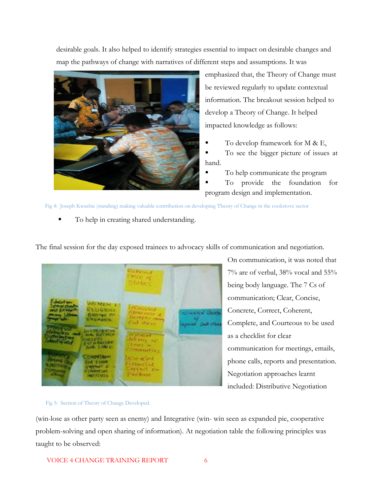desirable goals. It also helped to identify strategies essential to impact on desirable changes and map the pathways of change with narratives of different steps and assumptions. It was



emphasized that, the Theory of Change must be reviewed regularly to update contextual information. The breakout session helped to develop a Theory of Change. It helped impacted knowledge as follows:

To develop framework for  $M \& E$ ,

To see the bigger picture of issues at hand.

- To help communicate the program
- To provide the foundation for program design and implementation.

Fig 4: Joseph Kwashie (standing) making valuable contribution on developing Theory of Change in the cookstove sector

To help in creating shared understanding.

The final session for the day exposed trainees to advocacy skills of communication and negotiation.

On communication, it was noted that 7% are of verbal, 38% vocal and 55% being body language. The 7 Cs of communication; Clear, Concise, Concrete, Correct, Coherent, Complete, and Courteous to be used as a checklist for clear communication for meetings, emails, phone calls, reports and presentation. Negotiation approaches learnt included: Distributive Negotiation

Fig 5: Section of Theory of Change Developed.

(win-lose as other party seen as enemy) and Integrative (win- win seen as expanded pie, cooperative problem-solving and open sharing of information). At negotiation table the following principles was taught to be observed: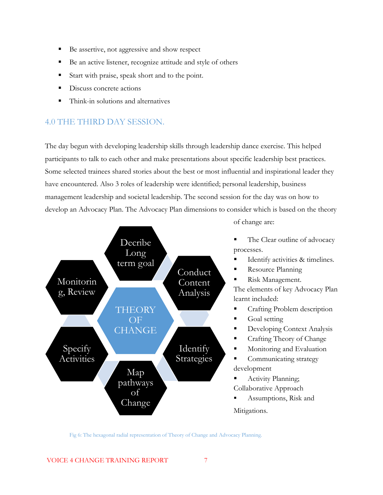- Be assertive, not aggressive and show respect
- Be an active listener, recognize attitude and style of others
- Start with praise, speak short and to the point.
- Discuss concrete actions
- Think-in solutions and alternatives

# <span id="page-7-0"></span>4.0 THE THIRD DAY SESSION.

The day begun with developing leadership skills through leadership dance exercise. This helped participants to talk to each other and make presentations about specific leadership best practices. Some selected trainees shared stories about the best or most influential and inspirational leader they have encountered. Also 3 roles of leadership were identified; personal leadership, business management leadership and societal leadership. The second session for the day was on how to develop an Advocacy Plan. The Advocacy Plan dimensions to consider which is based on the theory



of change are:

The Clear outline of advocacy processes.

- Identify activities & timelines.
- Resource Planning

Risk Management.

The elements of key Advocacy Plan learnt included:

- **•** Crafting Problem description
- $\Box$  Goal setting
- Developing Context Analysis
- Crafting Theory of Change
- Monitoring and Evaluation
- Communicating strategy development
- Activity Planning; Collaborative Approach
- Assumptions, Risk and Mitigations.

Fig 6: The hexagonal radial representation of Theory of Change and Advocacy Planning.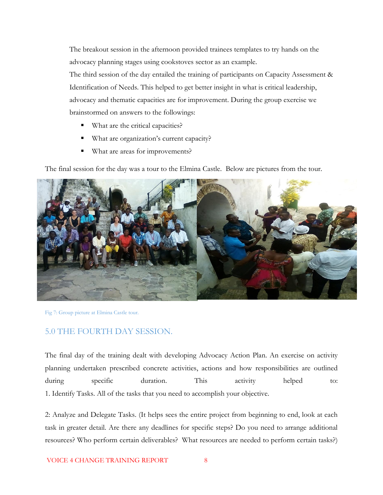The breakout session in the afternoon provided trainees templates to try hands on the advocacy planning stages using cookstoves sector as an example.

The third session of the day entailed the training of participants on Capacity Assessment & Identification of Needs. This helped to get better insight in what is critical leadership, advocacy and thematic capacities are for improvement. During the group exercise we brainstormed on answers to the followings:

- What are the critical capacities?
- What are organization's current capacity?
- What are areas for improvements?

The final session for the day was a tour to the Elmina Castle. Below are pictures from the tour.



Fig 7: Group picture at Elmina Castle tour.

#### <span id="page-8-0"></span>5.0 THE FOURTH DAY SESSION.

The final day of the training dealt with developing Advocacy Action Plan. An exercise on activity planning undertaken prescribed concrete activities, actions and how responsibilities are outlined during specific duration. This activity helped to: 1. Identify Tasks. All of the tasks that you need to accomplish your objective.

2: Analyze and Delegate Tasks. (It helps sees the entire project from beginning to end, look at each task in greater detail. Are there any deadlines for specific steps? Do you need to arrange additional resources? Who perform certain deliverables? What resources are needed to perform certain tasks?)